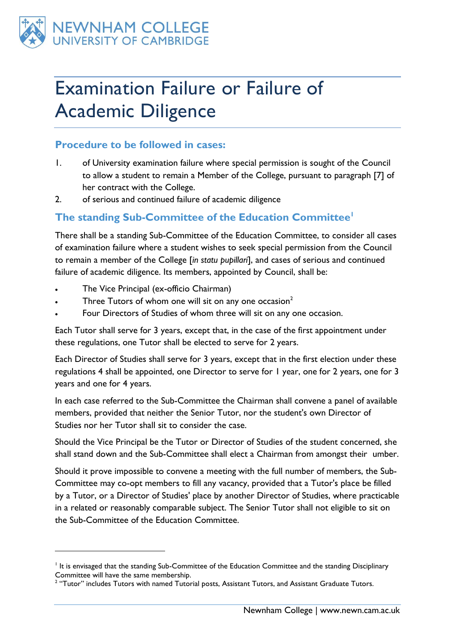

# Examination Failure or Failure of Academic Diligence

## **Procedure to be followed in cases:**

- 1. of University examination failure where special permission is sought of the Council to allow a student to remain a Member of the College, pursuant to paragraph [7] of her contract with the College.
- 2. of serious and continued failure of academic diligence

## **The standing Sub-Committee of the Education Committee<sup>1</sup>**

There shall be a standing Sub-Committee of the Education Committee, to consider all cases of examination failure where a student wishes to seek special permission from the Council to remain a member of the College [*in statu pupillari*], and cases of serious and continued failure of academic diligence. Its members, appointed by Council, shall be:

The Vice Principal (ex-officio Chairman)

<u>.</u>

- Three Tutors of whom one will sit on any one occasion<sup>2</sup>
- Four Directors of Studies of whom three will sit on any one occasion.

Each Tutor shall serve for 3 years, except that, in the case of the first appointment under these regulations, one Tutor shall be elected to serve for 2 years.

Each Director of Studies shall serve for 3 years, except that in the first election under these regulations 4 shall be appointed, one Director to serve for 1 year, one for 2 years, one for 3 years and one for 4 years.

In each case referred to the Sub-Committee the Chairman shall convene a panel of available members, provided that neither the Senior Tutor, nor the student's own Director of Studies nor her Tutor shall sit to consider the case.

Should the Vice Principal be the Tutor or Director of Studies of the student concerned, she shall stand down and the Sub-Committee shall elect a Chairman from amongst their umber.

Should it prove impossible to convene a meeting with the full number of members, the Sub-Committee may co-opt members to fill any vacancy, provided that a Tutor's place be filled by a Tutor, or a Director of Studies' place by another Director of Studies, where practicable in a related or reasonably comparable subject. The Senior Tutor shall not eligible to sit on the Sub-Committee of the Education Committee.

It is envisaged that the standing Sub-Committee of the Education Committee and the standing Disciplinary Committee will have the same membership.

 $2$  "Tutor" includes Tutors with named Tutorial posts, Assistant Tutors, and Assistant Graduate Tutors.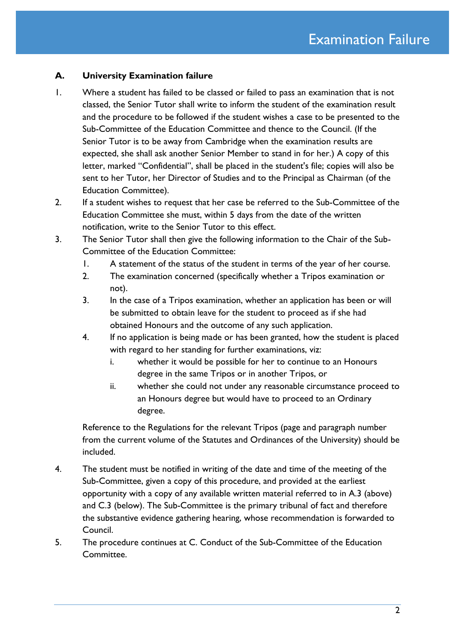#### **A. University Examination failure**

- 1. Where a student has failed to be classed or failed to pass an examination that is not classed, the Senior Tutor shall write to inform the student of the examination result and the procedure to be followed if the student wishes a case to be presented to the Sub-Committee of the Education Committee and thence to the Council. (If the Senior Tutor is to be away from Cambridge when the examination results are expected, she shall ask another Senior Member to stand in for her.) A copy of this letter, marked "Confidential", shall be placed in the student's file; copies will also be sent to her Tutor, her Director of Studies and to the Principal as Chairman (of the Education Committee).
- 2. If a student wishes to request that her case be referred to the Sub-Committee of the Education Committee she must, within 5 days from the date of the written notification, write to the Senior Tutor to this effect.
- 3. The Senior Tutor shall then give the following information to the Chair of the Sub-Committee of the Education Committee:
	- 1. A statement of the status of the student in terms of the year of her course.
	- 2. The examination concerned (specifically whether a Tripos examination or not).
	- 3. In the case of a Tripos examination, whether an application has been or will be submitted to obtain leave for the student to proceed as if she had obtained Honours and the outcome of any such application.
	- 4. If no application is being made or has been granted, how the student is placed with regard to her standing for further examinations, viz:
		- i. whether it would be possible for her to continue to an Honours degree in the same Tripos or in another Tripos, or
		- ii. whether she could not under any reasonable circumstance proceed to an Honours degree but would have to proceed to an Ordinary degree.

Reference to the Regulations for the relevant Tripos (page and paragraph number from the current volume of the Statutes and Ordinances of the University) should be included.

- 4. The student must be notified in writing of the date and time of the meeting of the Sub-Committee, given a copy of this procedure, and provided at the earliest opportunity with a copy of any available written material referred to in A.3 (above) and C.3 (below). The Sub-Committee is the primary tribunal of fact and therefore the substantive evidence gathering hearing, whose recommendation is forwarded to Council.
- 5. The procedure continues at C. Conduct of the Sub-Committee of the Education Committee.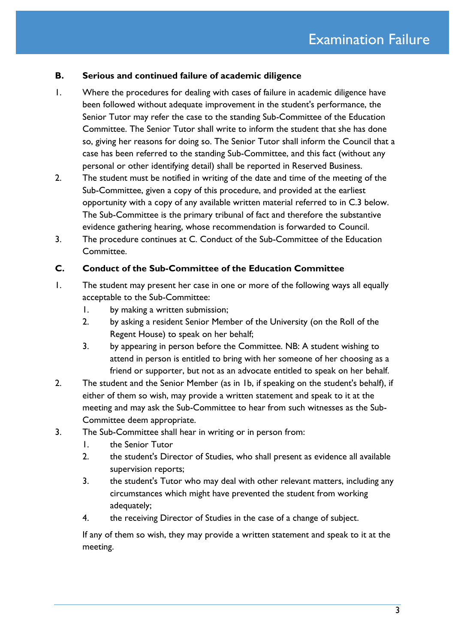#### **B. Serious and continued failure of academic diligence**

- 1. Where the procedures for dealing with cases of failure in academic diligence have been followed without adequate improvement in the student's performance, the Senior Tutor may refer the case to the standing Sub-Committee of the Education Committee. The Senior Tutor shall write to inform the student that she has done so, giving her reasons for doing so. The Senior Tutor shall inform the Council that a case has been referred to the standing Sub-Committee, and this fact (without any personal or other identifying detail) shall be reported in Reserved Business.
- 2. The student must be notified in writing of the date and time of the meeting of the Sub-Committee, given a copy of this procedure, and provided at the earliest opportunity with a copy of any available written material referred to in C.3 below. The Sub-Committee is the primary tribunal of fact and therefore the substantive evidence gathering hearing, whose recommendation is forwarded to Council.
- 3. The procedure continues at C. Conduct of the Sub-Committee of the Education Committee.

#### **C. Conduct of the Sub-Committee of the Education Committee**

- 1. The student may present her case in one or more of the following ways all equally acceptable to the Sub-Committee:
	- 1. by making a written submission;
	- 2. by asking a resident Senior Member of the University (on the Roll of the Regent House) to speak on her behalf;
	- 3. by appearing in person before the Committee. NB: A student wishing to attend in person is entitled to bring with her someone of her choosing as a friend or supporter, but not as an advocate entitled to speak on her behalf.
- 2. The student and the Senior Member (as in 1b, if speaking on the student's behalf), if either of them so wish, may provide a written statement and speak to it at the meeting and may ask the Sub-Committee to hear from such witnesses as the Sub-Committee deem appropriate.
- 3. The Sub-Committee shall hear in writing or in person from:
	- 1. the Senior Tutor
	- 2. the student's Director of Studies, who shall present as evidence all available supervision reports;
	- 3. the student's Tutor who may deal with other relevant matters, including any circumstances which might have prevented the student from working adequately;
	- 4. the receiving Director of Studies in the case of a change of subject.

If any of them so wish, they may provide a written statement and speak to it at the meeting.